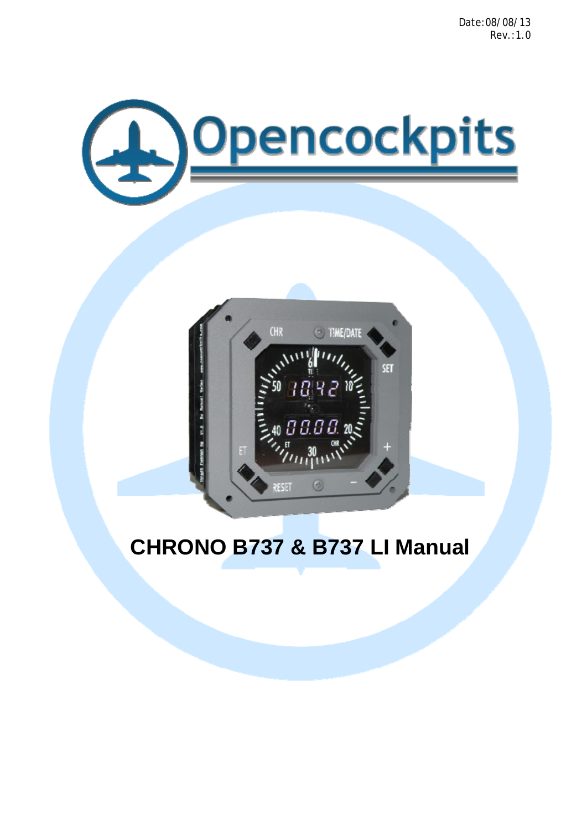Date:08/08/13 Rev.:1.0





# **CHRONO B737 & B737 LI Manual**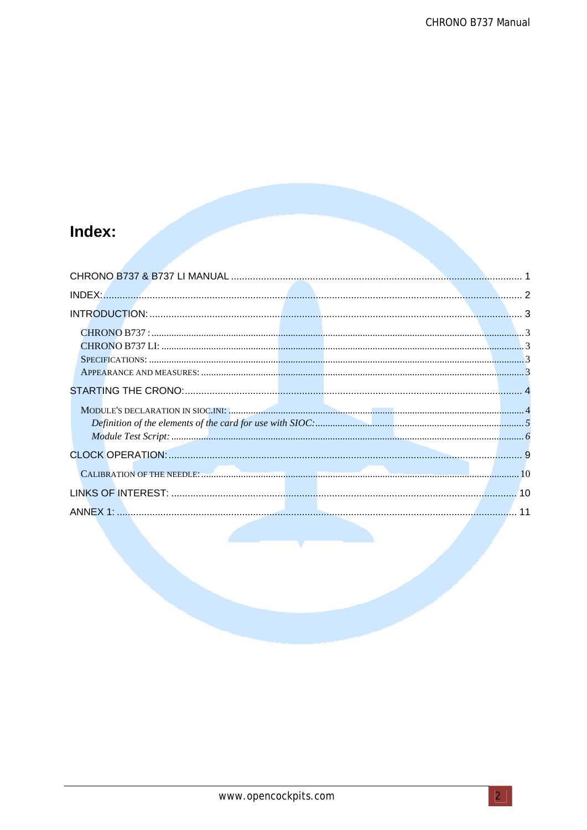# Index: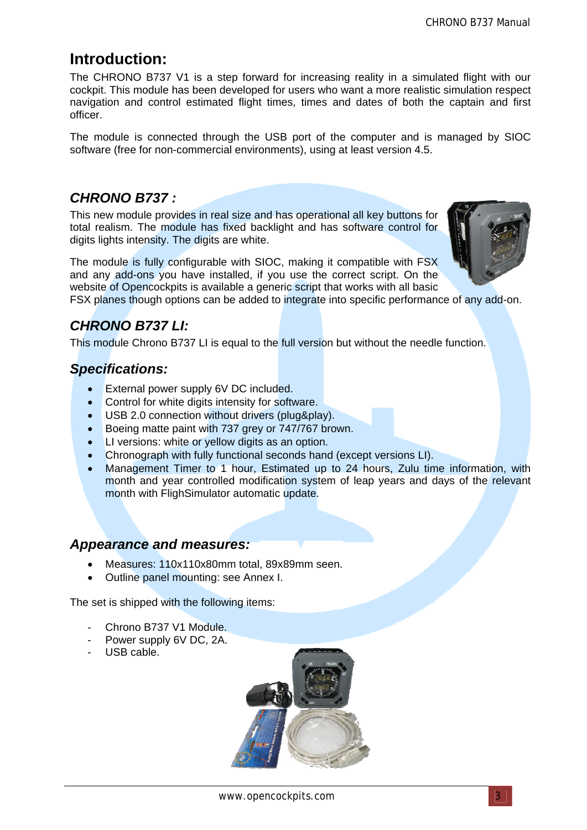# **Introduction:**

The CHRONO B737 V1 is a step forward for increasing reality in a simulated flight with our cockpit. This module has been developed for users who want a more realistic simulation respect navigation and control estimated flight times, times and dates of both the captain and first officer.

The module is connected through the USB port of the computer and is managed by SIOC software (free for non-commercial environments), using at least version 4.5.

### *CHRONO B737 :*

This new module provides in real size and has operational all key buttons for total realism. The module has fixed backlight and has software control for digits lights intensity. The digits are white.

The module is fully configurable with SIOC, making it compatible with FSX and any add-ons you have installed, if you use the correct script. On the website of Opencockpits is available a generic script that works with all basic



# *CHRONO B737 LI:*

This module Chrono B737 LI is equal to the full version but without the needle function.

## *Specifications:*

- External power supply 6V DC included.
- Control for white digits intensity for software.
- USB 2.0 connection without drivers (plug&play).
- **Boeing matte paint with 737 grey or 747/767 brown.**
- LI versions: white or yellow digits as an option.
- Chronograph with fully functional seconds hand (except versions LI).
- Management Timer to 1 hour, Estimated up to 24 hours, Zulu time information, with month and year controlled modification system of leap years and days of the relevant month with FlighSimulator automatic update.

### *Appearance and measures:*

- Measures: 110x110x80mm total, 89x89mm seen.
- Outline panel mounting: see Annex I.

The set is shipped with the following items:

- Chrono B737 V1 Module.
- Power supply 6V DC, 2A.
- USB cable.

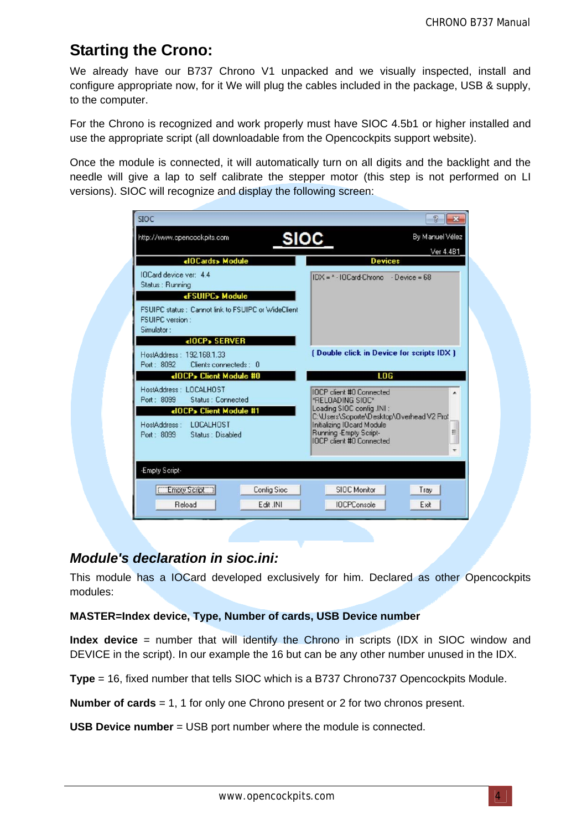# **Starting the Crono:**

We already have our B737 Chrono V1 unpacked and we visually inspected, install and configure appropriate now, for it We will plug the cables included in the package, USB & supply, to the computer.

For the Chrono is recognized and work properly must have SIOC 4.5b1 or higher installed and use the appropriate script (all downloadable from the Opencockpits support website).

Once the module is connected, it will automatically turn on all digits and the backlight and the needle will give a lap to self calibrate the stepper motor (this step is not performed on LI versions). SIOC will recognize and display the following screen:

| http://www.opencockpits.com<br>SIOC                                                                                                   | By Manuel Vélez<br>Ver 4.4B1                                                                                                                                            |  |
|---------------------------------------------------------------------------------------------------------------------------------------|-------------------------------------------------------------------------------------------------------------------------------------------------------------------------|--|
| <10 Cards> Module                                                                                                                     | <b>Devices</b>                                                                                                                                                          |  |
| IOCard device ver: 4.4<br>Status: Running                                                                                             | $IDX = * IDCard-Chrono - Device = 68$                                                                                                                                   |  |
| «FSUIPC» Module<br>FSUIPC status: Cannot link to FSUIPC or WideClient<br><b>FSUIPC</b> version:<br>Simulator:<br><iocp> SERVER</iocp> |                                                                                                                                                                         |  |
| HostAddress: 192 168 1.33<br>Port: 8092 Clients connecteds: 0                                                                         | [Double click in Device for scripts IDX ]                                                                                                                               |  |
| <10CP> Client Module #0                                                                                                               | LOG                                                                                                                                                                     |  |
| HostAddress: LOCALHOST<br>Port: 8099<br><b>Status: Connected</b>                                                                      | IOCP client #0 Connected<br>۰<br>*RELOADING SIOC*                                                                                                                       |  |
| <10CP> Client Module #1                                                                                                               | Loading SIOC config. INI:<br>C:\Users\Soporte\Desktop\Overhead V2 Pro!<br>Initializing IOcard Module<br>E<br>Running - Empty Script-<br><b>IDCP</b> client #0 Connected |  |
| HostAddress: LOCALHOST<br>Port: 8099 Status: Disabled                                                                                 |                                                                                                                                                                         |  |
| -Empty Script-                                                                                                                        |                                                                                                                                                                         |  |
| Empty Script<br>Config Sioc                                                                                                           | SIOC Monitor<br>Tray                                                                                                                                                    |  |
|                                                                                                                                       |                                                                                                                                                                         |  |

### *Module's declaration in sioc.ini:*

This module has a IOCard developed exclusively for him. Declared as other Opencockpits modules:

#### **MASTER=Index device, Type, Number of cards, USB Device number**

**Index device** = number that will identify the Chrono in scripts (IDX in SIOC window and DEVICE in the script). In our example the 16 but can be any other number unused in the IDX.

**Type** = 16, fixed number that tells SIOC which is a B737 Chrono737 Opencockpits Module.

**Number of cards** = 1, 1 for only one Chrono present or 2 for two chronos present.

**USB Device number** = USB port number where the module is connected.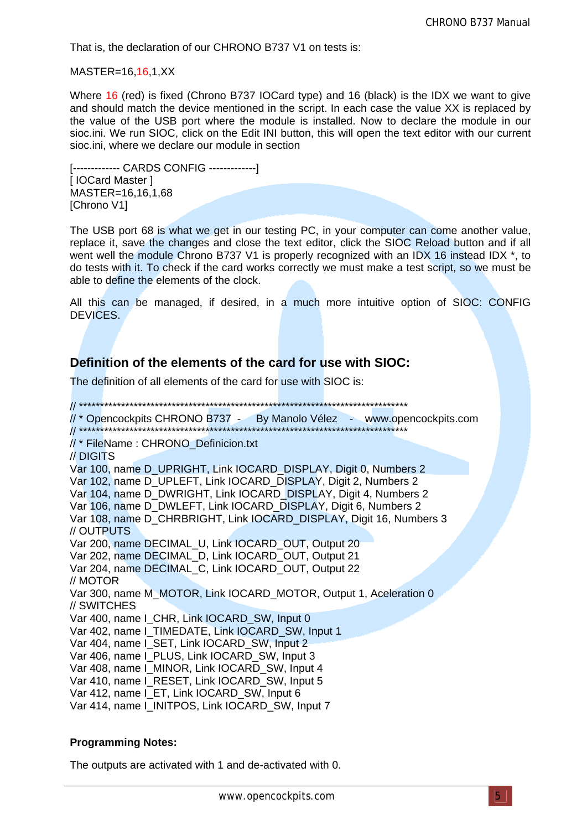That is, the declaration of our CHRONO B737 V1 on tests is:

MASTER=16,16,1,XX

Where 16 (red) is fixed (Chrono B737 IOCard type) and 16 (black) is the IDX we want to give and should match the device mentioned in the script. In each case the value XX is replaced by the value of the USB port where the module is installed. Now to declare the module in our sioc.ini. We run SIOC, click on the Edit INI button, this will open the text editor with our current sioc.ini, where we declare our module in section

[------------- CARDS CONFIG -------------] [ **IOCard Master 1** MASTER=16,16,1,68 [Chrono V1]

The USB port 68 is what we get in our testing PC, in your computer can come another value, replace it, save the changes and close the text editor, click the SIOC Reload button and if all went well the module Chrono B737 V1 is properly recognized with an IDX 16 instead IDX<sup>\*</sup>, to do tests with it. To check if the card works correctly we must make a test script, so we must be able to define the elements of the clock.

All this can be managed, if desired, in a much more intuitive option of SIOC: CONFIG DEVICES.

### **Definition of the elements of the card for use with SIOC:**

The definition of all elements of the card for use with SIOC is:

// \*\*\*\*\*\*\*\*\*\*\*\*\*\*\*\*\*\*\*\*\*\*\*\*\*\*\*\*\*\*\*\*\*\*\*\*\*\*\*\*\*\*\*\*\*\*\*\*\*\*\*\*\*\*\*\*\*\*\*\*\*\*\*\*\*\*\*\*\*\*\*\*\*\*\*\*\*\* // \* Opencockpits CHRONO B737 - By Manolo Vélez - www.opencockpits.com // \*\*\*\*\*\*\*\*\*\*\*\*\*\*\*\*\*\*\*\*\*\*\*\*\*\*\*\*\*\*\*\*\*\*\*\*\*\*\*\*\*\*\*\*\*\*\*\*\*\*\*\*\*\*\*\*\*\*\*\*\*\*\*\*\*\*\*\*\*\*\*\*\*\*\*\*\*\* // \* FileName : CHRONO\_Definicion.txt // DIGITS Var 100, name D\_UPRIGHT, Link IOCARD\_DISPLAY, Digit 0, Numbers 2 Var 102, name D\_UPLEFT, Link IOCARD\_DISPLAY, Digit 2, Numbers 2 Var 104, name D\_DWRIGHT, Link IOCARD\_DISPLAY, Digit 4, Numbers 2 Var 106, name D\_DWLEFT, Link IOCARD\_DISPLAY, Digit 6, Numbers 2 Var 108, name D\_CHRBRIGHT, Link IOCARD\_DISPLAY, Digit 16, Numbers 3 // OUTPUTS Var 200, name DECIMAL\_U, Link IOCARD\_OUT, Output 20 Var 202, name DECIMAL\_D, Link IOCARD\_OUT, Output 21 Var 204, name DECIMAL\_C, Link IOCARD\_OUT, Output 22 // MOTOR Var 300, name M\_MOTOR, Link IOCARD\_MOTOR, Output 1, Aceleration 0 // SWITCHES Var 400, name I\_CHR, Link IOCARD\_SW, Input 0 Var 402, name I\_TIMEDATE, Link IOCARD\_SW, Input 1 Var 404, name I\_SET, Link IOCARD\_SW, Input 2 Var 406, name I\_PLUS, Link IOCARD\_SW, Input 3 Var 408, name I\_MINOR, Link IOCARD\_SW, Input 4 Var 410, name I\_RESET, Link IOCARD\_SW, Input 5 Var 412, name I\_ET, Link IOCARD\_SW, Input 6 Var 414, name I\_INITPOS, Link IOCARD\_SW, Input 7

#### **Programming Notes:**

The outputs are activated with 1 and de-activated with 0.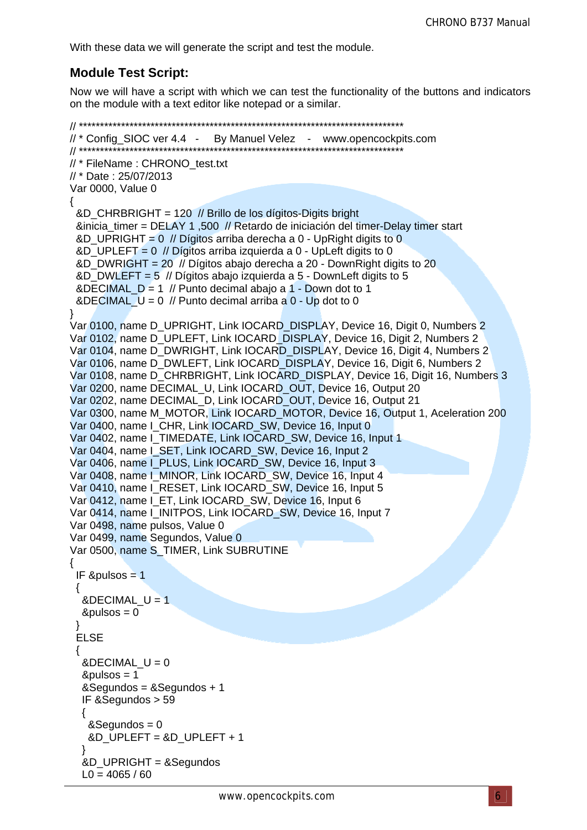With these data we will generate the script and test the module.

### **Module Test Script:**

Now we will have a script with which we can test the functionality of the buttons and indicators on the module with a text editor like notepad or a similar.

```
11^{*}//* Config SIOC ver 4.4 - By Manuel Velez - www.opencockpits.com
// * FileName: CHRONO_test.txt
// * Date: 25/07/2013
Var 0000, Value 0
 &D_CHRBRIGHT = 120 // Brillo de los dígitos-Digits bright
 &inicia timer = DELAY 1,500 // Retardo de iniciación del timer-Delay timer start
 &D_UPRIGHT = 0 // Dígitos arriba derecha a 0 - UpRight digits to 0
 &D UPLEFT = 0 // Dígitos arriba izquierda a 0 - UpLeft digits to 0
 &D_DWRIGHT = 20 // Dígitos abajo derecha a 20 - DownRight digits to 20
 &D DWLEFT = 5 // Dígitos abaio izquierda a 5 - DownLeft digits to 5
 &DECIMAL D = 1 // Punto decimal abajo a 1 - Down dot to 1
 &DECIMAL U = 0 // Punto decimal arriba a 0 - Up dot to 0
Var 0100, name D_UPRIGHT, Link IOCARD_DISPLAY, Device 16, Digit 0, Numbers 2
Var 0102, name D_UPLEFT, Link IOCARD_DISPLAY, Device 16, Digit 2, Numbers 2
Var 0104, name D DWRIGHT, Link IOCARD DISPLAY, Device 16, Digit 4, Numbers 2
Var 0106, name D_DWLEFT, Link IOCARD_DISPLAY, Device 16, Digit 6, Numbers 2
Var 0108, name D CHRBRIGHT, Link IOCARD DISPLAY, Device 16, Digit 16, Numbers 3
Var 0200, name DECIMAL_U, Link IOCARD_OUT, Device 16, Output 20
Var 0202, name DECIMAL D, Link IOCARD OUT, Device 16, Output 21
Var 0300, name M_MOTOR, Link IOCARD_MOTOR, Device 16, Output 1, Aceleration 200
Var 0400, name I_CHR, Link IOCARD_SW, Device 16, Input 0
Var 0402, name I TIMEDATE, Link IOCARD SW, Device 16, Input 1
Var 0404, name I_SET, Link IOCARD SW, Device 16, Input 2
Var 0406, name I_PLUS, Link IOCARD_SW, Device 16, Input 3
Var 0408, name I MINOR, Link IOCARD SW, Device 16, Input 4
Var 0410, name I RESET, Link IOCARD SW, Device 16, Input 5
Var 0412, name I_ET, Link IOCARD_SW, Device 16, Input 6
Var 0414, name I INITPOS, Link IOCARD SW, Device 16, Input 7
Var 0498, name pulsos. Value 0
Var 0499, name Segundos, Value 0
Var 0500, name S_TIMER, Link SUBRUTINE
₹
 IF & pulsos = 1\triangleDECIMAL U = 1
  &pulsos = 0
 ELSE
  \triangleDECIMAL U = 0
  & pulsos = 1
  &Segundos = &Segundos + 1
  IF & Segundos > 59
  ₹
   &Sequndos = 0
   &D_UPLEFT = &D_UPLEFT + 1
  &D UPRIGHT = &Segundos
  L0 = 4065 / 60
```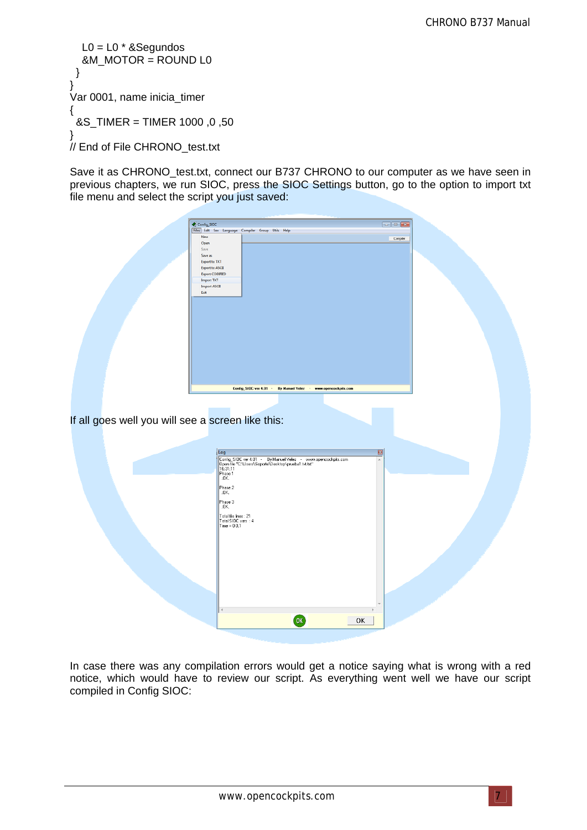$LO = LO * & Segundos$  &M\_MOTOR = ROUND L0 } } Var 0001, name inicia\_timer { &S\_TIMER = TIMER 1000 ,0 ,50 } // End of File CHRONO\_test.txt

Save it as CHRONO\_test.txt, connect our B737 CHRONO to our computer as we have seen in previous chapters, we run SIOC, press the SIOC Settings button, go to the option to import txt file menu and select the script you just saved:

| If all goes well you will see a screen like this: | Config_SIOC<br>[Files] Edit See Language Compiler Group Utils Help<br>New<br>Open<br>Save<br>Save as<br>Export to TXT<br>Export to ASCII<br>Export CODIFIED<br><b>Import TXT</b><br><b>Import ASCII</b><br>Exit<br>Config_SIOC ver 4.01<br>By Manuel Velez -<br>www.opencockpits.com<br>$\sim$                                                                                                                                                                                    | Compler               |  |
|---------------------------------------------------|-----------------------------------------------------------------------------------------------------------------------------------------------------------------------------------------------------------------------------------------------------------------------------------------------------------------------------------------------------------------------------------------------------------------------------------------------------------------------------------|-----------------------|--|
|                                                   | Log<br>Config_SIDC ver 4.01 - By Manuel Velez - www.opencockpits.com<br> Dpen file "C:\Users\Soporte\Desktop\prueba1.txt.txt"<br> 16:31:11<br>Phase 1<br>.OK.<br>$\left  \begin{smallmatrix} \text{Phase 2} \ \text{.0K} \end{smallmatrix} \right $<br>Phase 3<br>.OK.<br>$\fbox{\parbox{1.5cm} \begin{tabular}{ l l } \hline \texttt{Total file lines : 21} \\ \texttt{Total SIOC vars : 4} \\ \hline \texttt{Time = 0:0,1} \end{tabular}}$<br>$\overline{\text{OK}}$<br>ı<br>OK | ◙<br>$\blacktriangle$ |  |

In case there was any compilation errors would get a notice saying what is wrong with a red notice, which would have to review our script. As everything went well we have our script compiled in Config SIOC: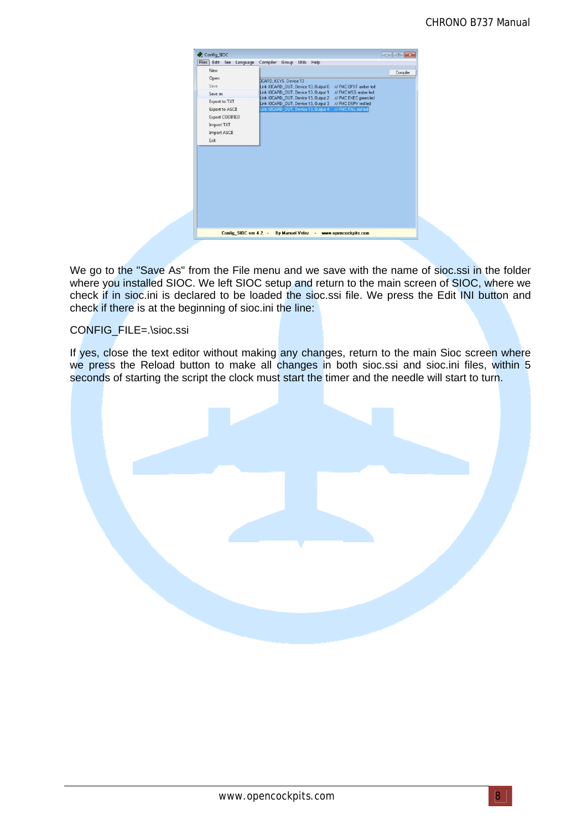|                        | Compiler Group Utils Help<br>Edit See Language             |          |
|------------------------|------------------------------------------------------------|----------|
| New                    |                                                            | Compiler |
| Open                   | <b>JCARD KEYS, Device 13</b>                               |          |
| Save                   | Link IOCARD_OUT, Device 13, Output 0 // FMC OFST amber led |          |
| Save as                | Link IOCARD OUT, Device 13, Output 1 // FMC MSG amber led  |          |
| <b>Export to TXT</b>   | Link IOCARD_OUT, Device 13, Output 2 // FMC EXEC green led |          |
|                        | Link IOCARD_OUT, Device 13, Output 3 // FMC DSPY red led   |          |
| <b>Export to ASCII</b> | Link IOCARD_OUT, Device 13, Output 4 // FMC FAIL red led   |          |
| <b>Export CODIFIED</b> |                                                            |          |
| <b>Import TXT</b>      |                                                            |          |
| <b>Import ASCII</b>    |                                                            |          |
| Exit                   |                                                            |          |
|                        |                                                            |          |
|                        |                                                            |          |

We go to the "Save As" from the File menu and we save with the name of sioc.ssi in the folder where you installed SIOC. We left SIOC setup and return to the main screen of SIOC, where we check if in sioc.ini is declared to be loaded the sioc.ssi file. We press the Edit INI button and check if there is at the beginning of sioc.ini the line:

#### CONFIG\_FILE=.\sioc.ssi

If yes, close the text editor without making any changes, return to the main Sioc screen where we press the Reload button to make all changes in both sioc.ssi and sioc.ini files, within 5 seconds of starting the script the clock must start the timer and the needle will start to turn.

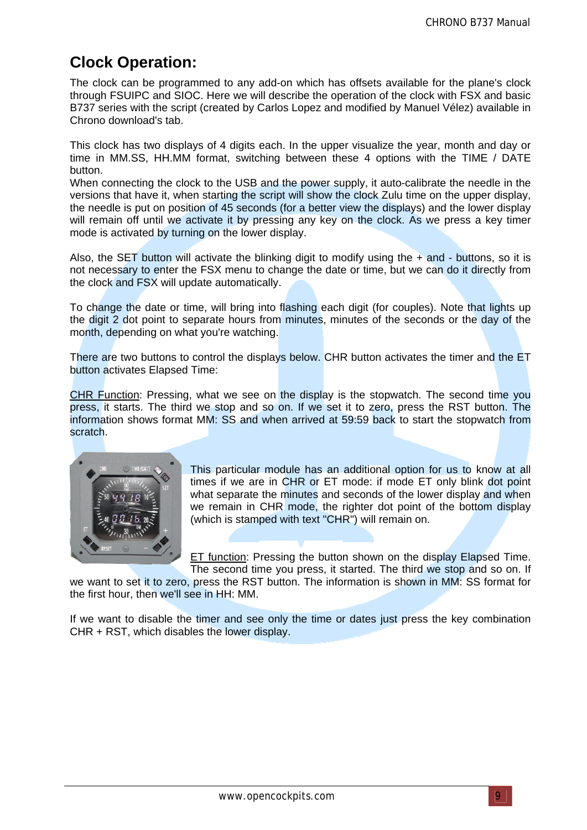# **Clock Operation:**

The clock can be programmed to any add-on which has offsets available for the plane's clock through FSUIPC and SIOC. Here we will describe the operation of the clock with FSX and basic B737 series with the script (created by Carlos Lopez and modified by Manuel Vélez) available in Chrono download's tab.

This clock has two displays of 4 digits each. In the upper visualize the year, month and day or time in MM.SS, HH.MM format, switching between these 4 options with the TIME / DATE button.

When connecting the clock to the USB and the power supply, it auto-calibrate the needle in the versions that have it, when starting the script will show the clock Zulu time on the upper display, the needle is put on position of 45 seconds (for a better view the displays) and the lower display will remain off until we activate it by pressing any key on the clock. As we press a key timer mode is activated by turning on the lower display.

Also, the SET button will activate the blinking digit to modify using the  $+$  and  $-$  buttons, so it is not necessary to enter the FSX menu to change the date or time, but we can do it directly from the clock and FSX will update automatically.

To change the date or time, will bring into flashing each digit (for couples). Note that lights up the digit 2 dot point to separate hours from minutes, minutes of the seconds or the day of the month, depending on what you're watching.

There are two buttons to control the displays below. CHR button activates the timer and the ET button activates Elapsed Time:

CHR Function: Pressing, what we see on the display is the stopwatch. The second time you press, it starts. The third we stop and so on. If we set it to zero, press the RST button. The information shows format MM: SS and when arrived at 59:59 back to start the stopwatch from scratch.



This particular module has an additional option for us to know at all times if we are in CHR or ET mode: if mode ET only blink dot point what separate the minutes and seconds of the lower display and when we remain in CHR mode, the righter dot point of the bottom display (which is stamped with text "CHR") will remain on.

ET function: Pressing the button shown on the display Elapsed Time. The second time you press, it started. The third we stop and so on. If

we want to set it to zero, press the RST button. The information is shown in MM: SS format for the first hour, then we'll see in HH: MM.

If we want to disable the timer and see only the time or dates just press the key combination CHR + RST, which disables the lower display.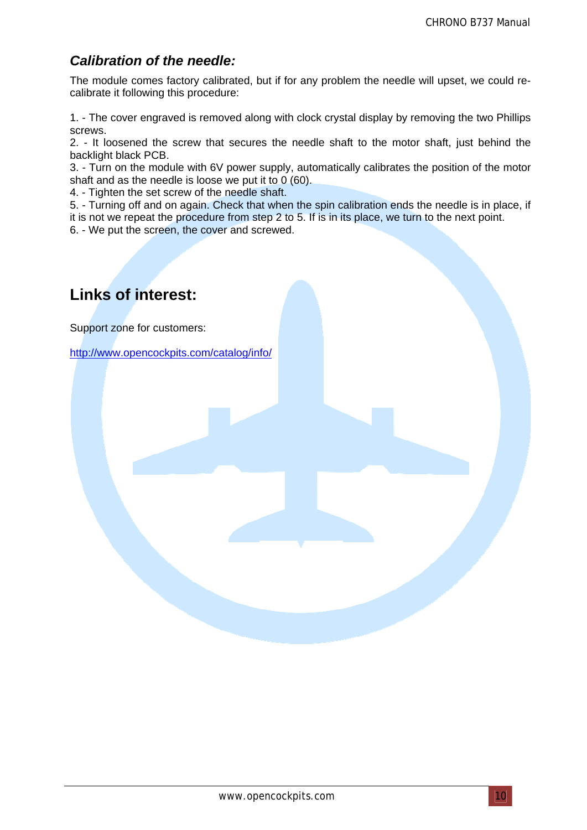### *Calibration of the needle:*

The module comes factory calibrated, but if for any problem the needle will upset, we could recalibrate it following this procedure:

1. - The cover engraved is removed along with clock crystal display by removing the two Phillips screws.

2. - It loosened the screw that secures the needle shaft to the motor shaft, just behind the backlight black PCB.

3. - Turn on the module with 6V power supply, automatically calibrates the position of the motor shaft and as the needle is loose we put it to 0 (60).

4. - Tighten the set screw of the needle shaft.

5. - Turning off and on again. Check that when the spin calibration ends the needle is in place, if it is not we repeat the procedure from step 2 to 5. If is in its place, we turn to the next point.

6. - We put the screen, the cover and screwed.

# **Links of interest:**

Support zone for customers:

http://www.opencockpits.com/catalog/info/